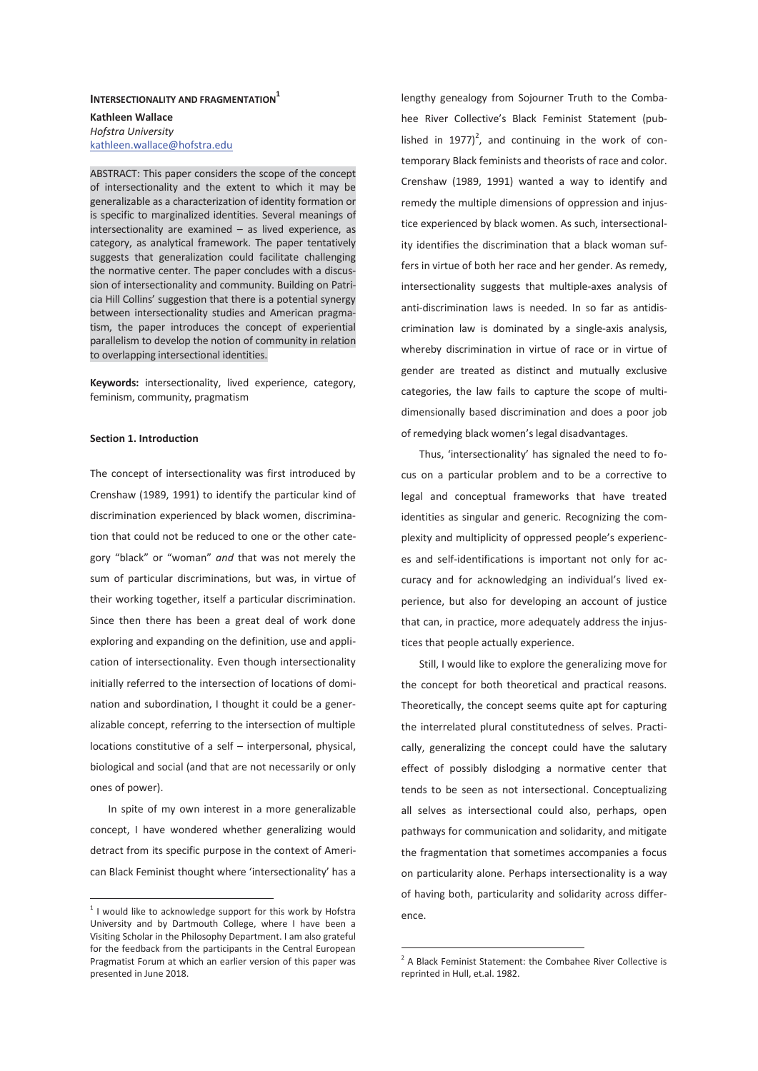# **INTERSECTIONALITY AND FRAGMENTATION**<sup>1</sup>

**Kathleen Wallace**  *Hofstra University*  kathleen.wallace@hofstra.edu

ABSTRACT: This paper considers the scope of the concept of intersectionality and the extent to which it may be generalizable as a characterization of identity formation or is specific to marginalized identities. Several meanings of intersectionality are examined – as lived experience, as category, as analytical framework. The paper tentatively suggests that generalization could facilitate challenging the normative center. The paper concludes with a discussion of intersectionality and community. Building on Patricia Hill Collins' suggestion that there is a potential synergy between intersectionality studies and American pragmatism, the paper introduces the concept of experiential parallelism to develop the notion of community in relation to overlapping intersectional identities.

**Keywords:** intersectionality, lived experience, category, feminism, community, pragmatism

## **Section 1. Introduction**

The concept of intersectionality was first introduced by Crenshaw (1989, 1991) to identify the particular kind of discrimination experienced by black women, discrimination that could not be reduced to one or the other category "black" or "woman" *and* that was not merely the sum of particular discriminations, but was, in virtue of their working together, itself a particular discrimination. Since then there has been a great deal of work done exploring and expanding on the definition, use and application of intersectionality. Even though intersectionality initially referred to the intersection of locations of domination and subordination, I thought it could be a generalizable concept, referring to the intersection of multiple locations constitutive of a self – interpersonal, physical, biological and social (and that are not necessarily or only ones of power).

In spite of my own interest in a more generalizable concept, I have wondered whether generalizing would detract from its specific purpose in the context of American Black Feminist thought where 'intersectionality' has a

 $\overline{a}$ 

lengthy genealogy from Sojourner Truth to the Combahee River Collective's Black Feminist Statement (published in  $1977)^2$ , and continuing in the work of contemporary Black feminists and theorists of race and color. Crenshaw (1989, 1991) wanted a way to identify and remedy the multiple dimensions of oppression and injustice experienced by black women. As such, intersectionality identifies the discrimination that a black woman suffers in virtue of both her race and her gender. As remedy, intersectionality suggests that multiple-axes analysis of anti-discrimination laws is needed. In so far as antidiscrimination law is dominated by a single-axis analysis, whereby discrimination in virtue of race or in virtue of gender are treated as distinct and mutually exclusive categories, the law fails to capture the scope of multidimensionally based discrimination and does a poor job of remedying black women's legal disadvantages.

Thus, 'intersectionality' has signaled the need to focus on a particular problem and to be a corrective to legal and conceptual frameworks that have treated identities as singular and generic. Recognizing the complexity and multiplicity of oppressed people's experiences and self-identifications is important not only for accuracy and for acknowledging an individual's lived experience, but also for developing an account of justice that can, in practice, more adequately address the injustices that people actually experience.

Still, I would like to explore the generalizing move for the concept for both theoretical and practical reasons. Theoretically, the concept seems quite apt for capturing the interrelated plural constitutedness of selves. Practically, generalizing the concept could have the salutary effect of possibly dislodging a normative center that tends to be seen as not intersectional. Conceptualizing all selves as intersectional could also, perhaps, open pathways for communication and solidarity, and mitigate the fragmentation that sometimes accompanies a focus on particularity alone. Perhaps intersectionality is a way of having both, particularity and solidarity across difference.

 $1$  I would like to acknowledge support for this work by Hofstra University and by Dartmouth College, where I have been a Visiting Scholar in the Philosophy Department. I am also grateful for the feedback from the participants in the Central European Pragmatist Forum at which an earlier version of this paper was presented in June 2018.

<sup>&</sup>lt;sup>2</sup> A Black Feminist Statement: the Combahee River Collective is reprinted in Hull, et.al. 1982.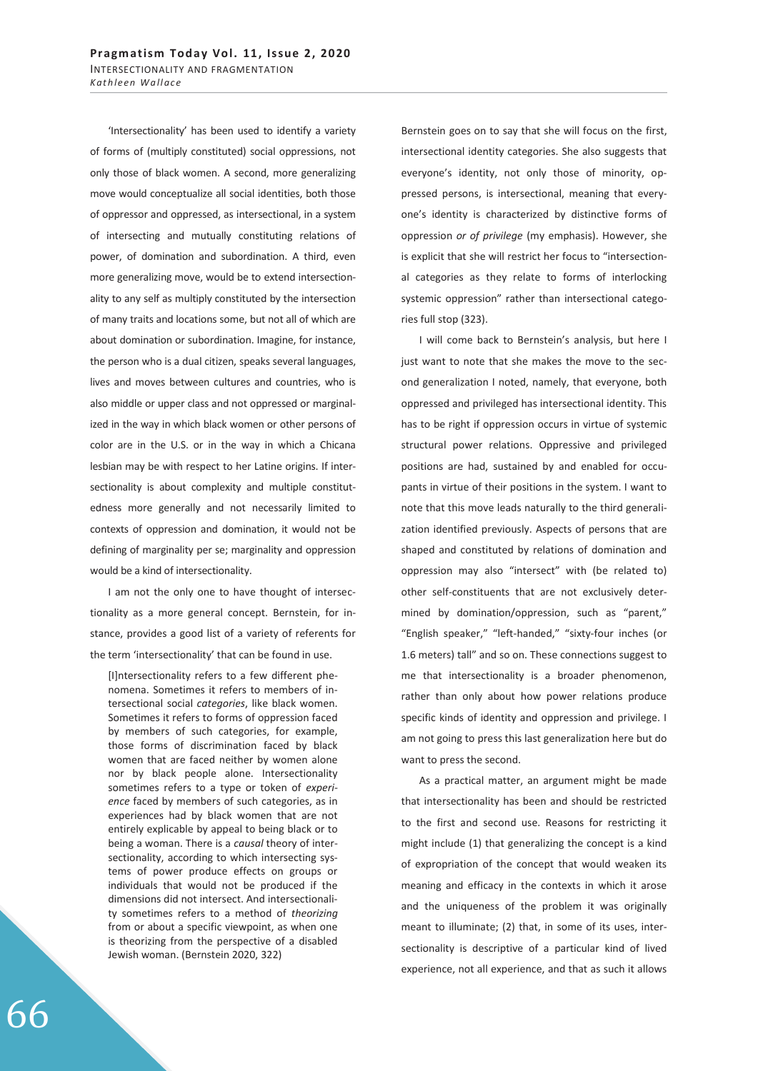'Intersectionality' has been used to identify a variety of forms of (multiply constituted) social oppressions, not only those of black women. A second, more generalizing move would conceptualize all social identities, both those of oppressor and oppressed, as intersectional, in a system of intersecting and mutually constituting relations of power, of domination and subordination. A third, even more generalizing move, would be to extend intersectionality to any self as multiply constituted by the intersection of many traits and locations some, but not all of which are about domination or subordination. Imagine, for instance, the person who is a dual citizen, speaks several languages, lives and moves between cultures and countries, who is also middle or upper class and not oppressed or marginalized in the way in which black women or other persons of color are in the U.S. or in the way in which a Chicana lesbian may be with respect to her Latine origins. If intersectionality is about complexity and multiple constitutedness more generally and not necessarily limited to contexts of oppression and domination, it would not be defining of marginality per se; marginality and oppression would be a kind of intersectionality.

I am not the only one to have thought of intersectionality as a more general concept. Bernstein, for instance, provides a good list of a variety of referents for the term 'intersectionality' that can be found in use.

[I]ntersectionality refers to a few different phenomena. Sometimes it refers to members of intersectional social *categories*, like black women. Sometimes it refers to forms of oppression faced by members of such categories, for example, those forms of discrimination faced by black women that are faced neither by women alone nor by black people alone. Intersectionality sometimes refers to a type or token of *experience* faced by members of such categories, as in experiences had by black women that are not entirely explicable by appeal to being black or to being a woman. There is a *causal* theory of intersectionality, according to which intersecting systems of power produce effects on groups or individuals that would not be produced if the dimensions did not intersect. And intersectionality sometimes refers to a method of *theorizing* from or about a specific viewpoint, as when one is theorizing from the perspective of a disabled Jewish woman. (Bernstein 2020, 322)

Bernstein goes on to say that she will focus on the first, intersectional identity categories. She also suggests that everyone's identity, not only those of minority, oppressed persons, is intersectional, meaning that everyone's identity is characterized by distinctive forms of oppression *or of privilege* (my emphasis). However, she is explicit that she will restrict her focus to "intersectional categories as they relate to forms of interlocking systemic oppression" rather than intersectional categories full stop (323).

I will come back to Bernstein's analysis, but here I just want to note that she makes the move to the second generalization I noted, namely, that everyone, both oppressed and privileged has intersectional identity. This has to be right if oppression occurs in virtue of systemic structural power relations. Oppressive and privileged positions are had, sustained by and enabled for occupants in virtue of their positions in the system. I want to note that this move leads naturally to the third generalization identified previously. Aspects of persons that are shaped and constituted by relations of domination and oppression may also "intersect" with (be related to) other self-constituents that are not exclusively determined by domination/oppression, such as "parent," "English speaker," "left-handed," "sixty-four inches (or 1.6 meters) tall" and so on. These connections suggest to me that intersectionality is a broader phenomenon, rather than only about how power relations produce specific kinds of identity and oppression and privilege. I am not going to press this last generalization here but do want to press the second.

As a practical matter, an argument might be made that intersectionality has been and should be restricted to the first and second use. Reasons for restricting it might include (1) that generalizing the concept is a kind of expropriation of the concept that would weaken its meaning and efficacy in the contexts in which it arose and the uniqueness of the problem it was originally meant to illuminate; (2) that, in some of its uses, intersectionality is descriptive of a particular kind of lived experience, not all experience, and that as such it allows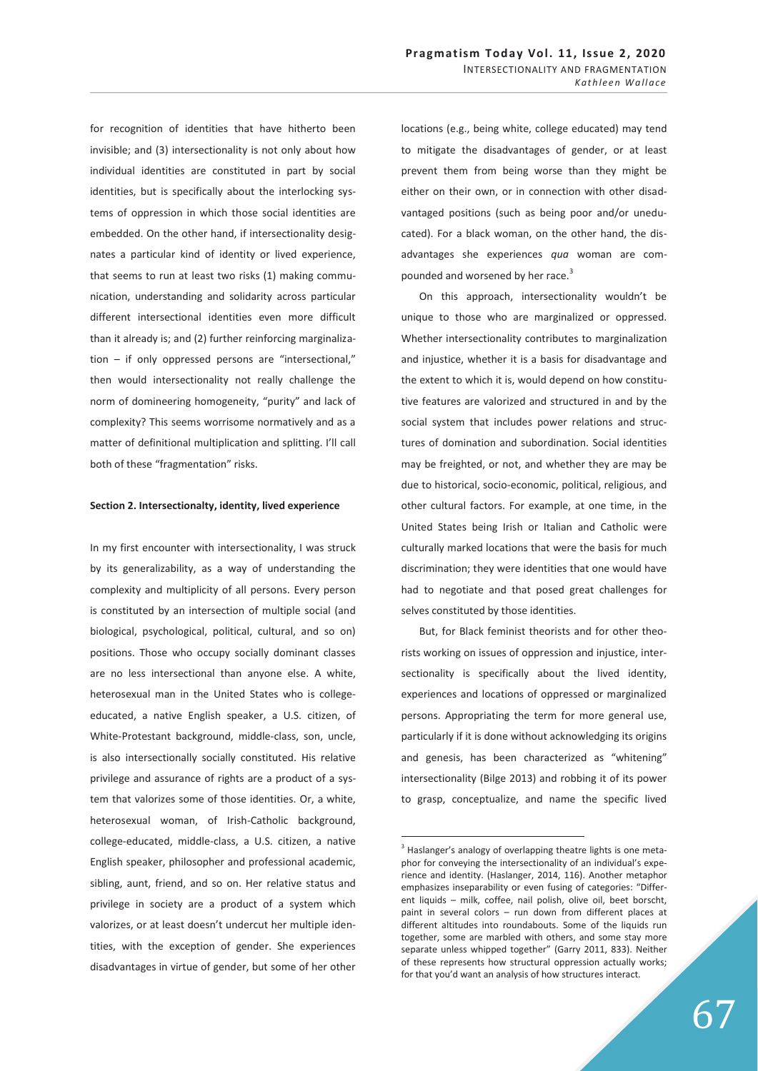for recognition of identities that have hitherto been invisible; and (3) intersectionality is not only about how individual identities are constituted in part by social identities, but is specifically about the interlocking systems of oppression in which those social identities are embedded. On the other hand, if intersectionality designates a particular kind of identity or lived experience, that seems to run at least two risks (1) making communication, understanding and solidarity across particular different intersectional identities even more difficult than it already is; and (2) further reinforcing marginalization – if only oppressed persons are "intersectional," then would intersectionality not really challenge the norm of domineering homogeneity, "purity" and lack of complexity? This seems worrisome normatively and as a matter of definitional multiplication and splitting. I'll call both of these "fragmentation" risks.

### **Section 2. Intersectionalty, identity, lived experience**

In my first encounter with intersectionality, I was struck by its generalizability, as a way of understanding the complexity and multiplicity of all persons. Every person is constituted by an intersection of multiple social (and biological, psychological, political, cultural, and so on) positions. Those who occupy socially dominant classes are no less intersectional than anyone else. A white, heterosexual man in the United States who is collegeeducated, a native English speaker, a U.S. citizen, of White-Protestant background, middle-class, son, uncle, is also intersectionally socially constituted. His relative privilege and assurance of rights are a product of a system that valorizes some of those identities. Or, a white, heterosexual woman, of Irish-Catholic background, college-educated, middle-class, a U.S. citizen, a native English speaker, philosopher and professional academic, sibling, aunt, friend, and so on. Her relative status and privilege in society are a product of a system which valorizes, or at least doesn't undercut her multiple identities, with the exception of gender. She experiences disadvantages in virtue of gender, but some of her other locations (e.g., being white, college educated) may tend to mitigate the disadvantages of gender, or at least prevent them from being worse than they might be either on their own, or in connection with other disadvantaged positions (such as being poor and/or uneducated). For a black woman, on the other hand, the disadvantages she experiences *qua* woman are compounded and worsened by her race.<sup>3</sup>

On this approach, intersectionality wouldn't be unique to those who are marginalized or oppressed. Whether intersectionality contributes to marginalization and injustice, whether it is a basis for disadvantage and the extent to which it is, would depend on how constitutive features are valorized and structured in and by the social system that includes power relations and structures of domination and subordination. Social identities may be freighted, or not, and whether they are may be due to historical, socio-economic, political, religious, and other cultural factors. For example, at one time, in the United States being Irish or Italian and Catholic were culturally marked locations that were the basis for much discrimination; they were identities that one would have had to negotiate and that posed great challenges for selves constituted by those identities.

But, for Black feminist theorists and for other theorists working on issues of oppression and injustice, intersectionality is specifically about the lived identity, experiences and locations of oppressed or marginalized persons. Appropriating the term for more general use, particularly if it is done without acknowledging its origins and genesis, has been characterized as "whitening" intersectionality (Bilge 2013) and robbing it of its power to grasp, conceptualize, and name the specific lived

<sup>&</sup>lt;sup>3</sup> Haslanger's analogy of overlapping theatre lights is one metaphor for conveying the intersectionality of an individual's experience and identity. (Haslanger, 2014, 116). Another metaphor emphasizes inseparability or even fusing of categories: "Different liquids – milk, coffee, nail polish, olive oil, beet borscht, paint in several colors – run down from different places at different altitudes into roundabouts. Some of the liquids run together, some are marbled with others, and some stay more separate unless whipped together" (Garry 2011, 833). Neither of these represents how structural oppression actually works; for that you'd want an analysis of how structures interact.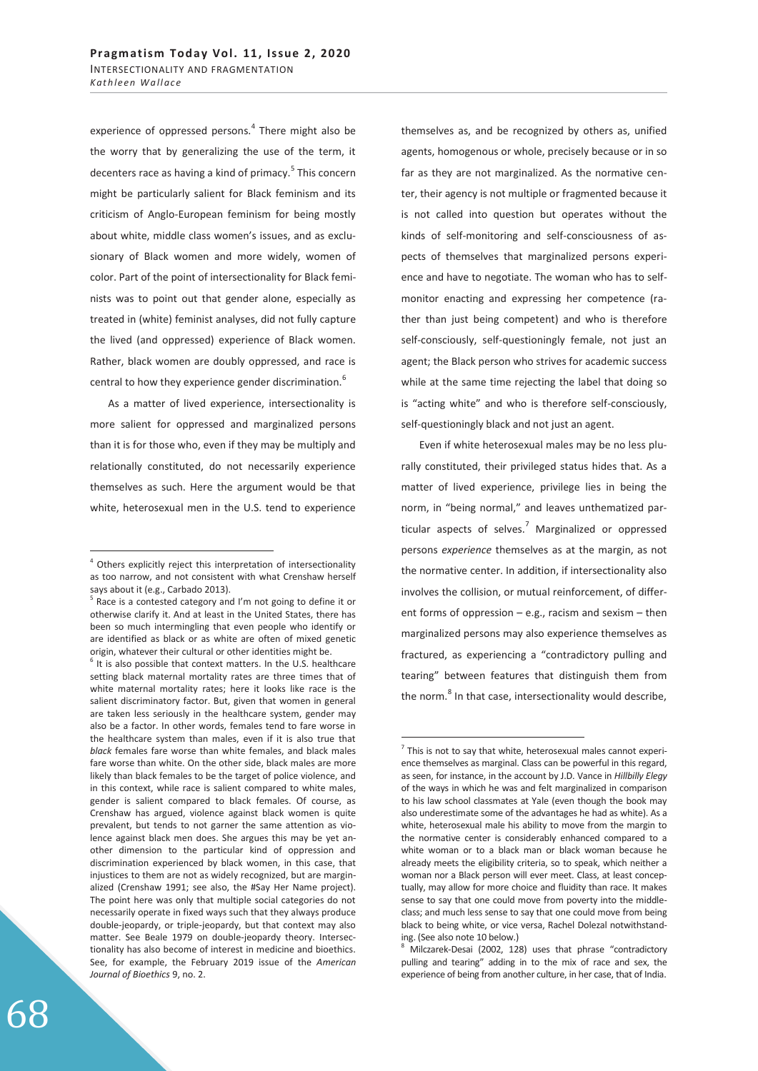experience of oppressed persons.<sup>4</sup> There might also be the worry that by generalizing the use of the term, it decenters race as having a kind of primacy.<sup>5</sup> This concern might be particularly salient for Black feminism and its criticism of Anglo-European feminism for being mostly about white, middle class women's issues, and as exclusionary of Black women and more widely, women of color. Part of the point of intersectionality for Black feminists was to point out that gender alone, especially as treated in (white) feminist analyses, did not fully capture the lived (and oppressed) experience of Black women. Rather, black women are doubly oppressed, and race is central to how they experience gender discrimination.<sup>6</sup>

As a matter of lived experience, intersectionality is more salient for oppressed and marginalized persons than it is for those who, even if they may be multiply and relationally constituted, do not necessarily experience themselves as such. Here the argument would be that white, heterosexual men in the U.S. tend to experience

 $\overline{a}$ 

themselves as, and be recognized by others as, unified agents, homogenous or whole, precisely because or in so far as they are not marginalized. As the normative center, their agency is not multiple or fragmented because it is not called into question but operates without the kinds of self-monitoring and self-consciousness of aspects of themselves that marginalized persons experience and have to negotiate. The woman who has to selfmonitor enacting and expressing her competence (rather than just being competent) and who is therefore self-consciously, self-questioningly female, not just an agent; the Black person who strives for academic success while at the same time rejecting the label that doing so is "acting white" and who is therefore self-consciously, self-questioningly black and not just an agent.

Even if white heterosexual males may be no less plurally constituted, their privileged status hides that. As a matter of lived experience, privilege lies in being the norm, in "being normal," and leaves unthematized particular aspects of selves.<sup>7</sup> Marginalized or oppressed persons *experience* themselves as at the margin, as not the normative center. In addition, if intersectionality also involves the collision, or mutual reinforcement, of different forms of oppression  $-$  e.g., racism and sexism  $-$  then marginalized persons may also experience themselves as fractured, as experiencing a "contradictory pulling and tearing" between features that distinguish them from the norm.<sup>8</sup> In that case, intersectionality would describe,

 $\overline{a}$ 

<sup>&</sup>lt;sup>4</sup> Others explicitly reject this interpretation of intersectionality as too narrow, and not consistent with what Crenshaw herself says about it (e.g., Carbado 2013).

<sup>&</sup>lt;sup>5</sup> Race is a contested category and I'm not going to define it or otherwise clarify it. And at least in the United States, there has been so much intermingling that even people who identify or are identified as black or as white are often of mixed genetic origin, whatever their cultural or other identities might be.

 $<sup>6</sup>$  It is also possible that context matters. In the U.S. healthcare</sup> setting black maternal mortality rates are three times that of white maternal mortality rates; here it looks like race is the salient discriminatory factor. But, given that women in general are taken less seriously in the healthcare system, gender may also be a factor. In other words, females tend to fare worse in the healthcare system than males, even if it is also true that *black* females fare worse than white females, and black males fare worse than white. On the other side, black males are more likely than black females to be the target of police violence, and in this context, while race is salient compared to white males, gender is salient compared to black females. Of course, as Crenshaw has argued, violence against black women is quite prevalent, but tends to not garner the same attention as violence against black men does. She argues this may be yet another dimension to the particular kind of oppression and discrimination experienced by black women, in this case, that injustices to them are not as widely recognized, but are marginalized (Crenshaw 1991; see also, the #Say Her Name project). The point here was only that multiple social categories do not necessarily operate in fixed ways such that they always produce double-jeopardy, or triple-jeopardy, but that context may also matter. See Beale 1979 on double-jeopardy theory. Intersectionality has also become of interest in medicine and bioethics. See, for example, the February 2019 issue of the *American Journal of Bioethics* 9, no. 2.

 $<sup>7</sup>$  This is not to say that white, heterosexual males cannot experi-</sup> ence themselves as marginal. Class can be powerful in this regard, as seen, for instance, in the account by J.D. Vance in *Hillbilly Elegy* of the ways in which he was and felt marginalized in comparison to his law school classmates at Yale (even though the book may also underestimate some of the advantages he had as white). As a white, heterosexual male his ability to move from the margin to the normative center is considerably enhanced compared to a white woman or to a black man or black woman because he already meets the eligibility criteria, so to speak, which neither a woman nor a Black person will ever meet. Class, at least conceptually, may allow for more choice and fluidity than race. It makes sense to say that one could move from poverty into the middleclass; and much less sense to say that one could move from being black to being white, or vice versa, Rachel Dolezal notwithstanding. (See also note 10 below.)

<sup>8</sup> Milczarek-Desai (2002, 128) uses that phrase "contradictory pulling and tearing" adding in to the mix of race and sex, the experience of being from another culture, in her case, that of India.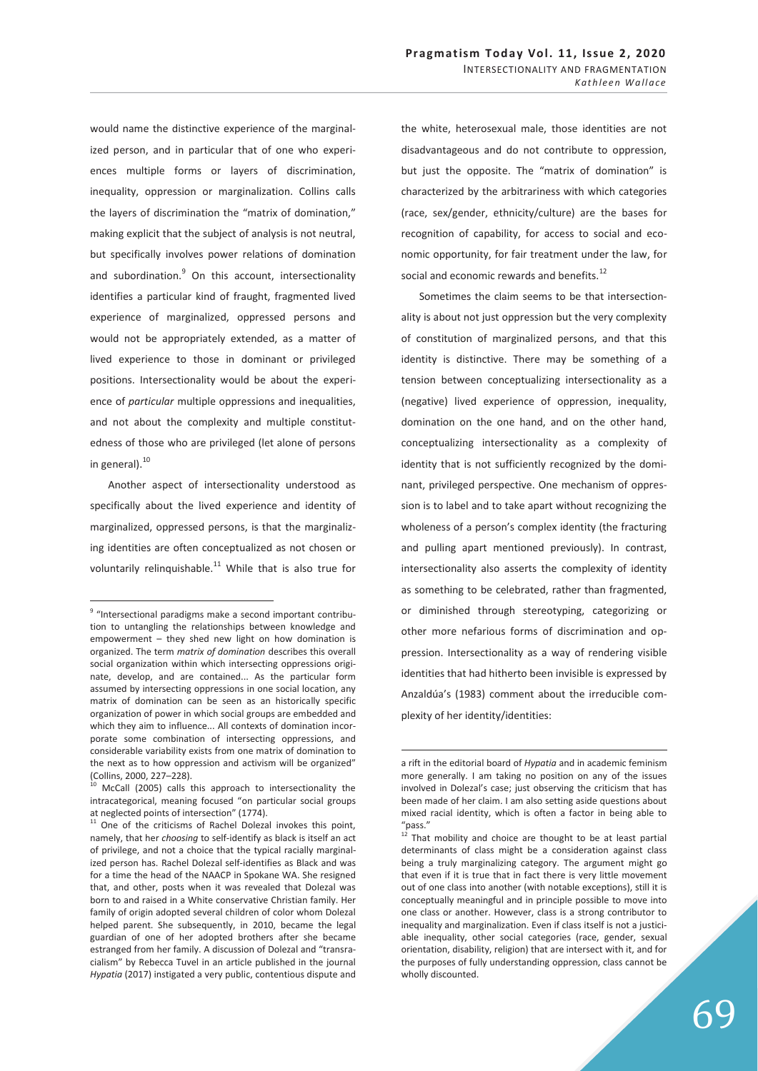would name the distinctive experience of the marginalized person, and in particular that of one who experiences multiple forms or layers of discrimination, inequality, oppression or marginalization. Collins calls the layers of discrimination the "matrix of domination," making explicit that the subject of analysis is not neutral, but specifically involves power relations of domination and subordination.<sup>9</sup> On this account, intersectionality identifies a particular kind of fraught, fragmented lived experience of marginalized, oppressed persons and would not be appropriately extended, as a matter of lived experience to those in dominant or privileged positions. Intersectionality would be about the experience of *particular* multiple oppressions and inequalities, and not about the complexity and multiple constitutedness of those who are privileged (let alone of persons in general). $^{10}$ 

Another aspect of intersectionality understood as specifically about the lived experience and identity of marginalized, oppressed persons, is that the marginalizing identities are often conceptualized as not chosen or voluntarily relinquishable.<sup>11</sup> While that is also true for the white, heterosexual male, those identities are not disadvantageous and do not contribute to oppression, but just the opposite. The "matrix of domination" is characterized by the arbitrariness with which categories (race, sex/gender, ethnicity/culture) are the bases for recognition of capability, for access to social and economic opportunity, for fair treatment under the law, for social and economic rewards and benefits.<sup>12</sup>

Sometimes the claim seems to be that intersectionality is about not just oppression but the very complexity of constitution of marginalized persons, and that this identity is distinctive. There may be something of a tension between conceptualizing intersectionality as a (negative) lived experience of oppression, inequality, domination on the one hand, and on the other hand, conceptualizing intersectionality as a complexity of identity that is not sufficiently recognized by the dominant, privileged perspective. One mechanism of oppression is to label and to take apart without recognizing the wholeness of a person's complex identity (the fracturing and pulling apart mentioned previously). In contrast, intersectionality also asserts the complexity of identity as something to be celebrated, rather than fragmented, or diminished through stereotyping, categorizing or other more nefarious forms of discrimination and oppression. Intersectionality as a way of rendering visible identities that had hitherto been invisible is expressed by Anzaldúa's (1983) comment about the irreducible complexity of her identity/identities:

ermand correctional paradigms make a second important contribu-<br>Superintersectional paradigms make a second important contribution to untangling the relationships between knowledge and empowerment – they shed new light on how domination is organized. The term *matrix of domination* describes this overall social organization within which intersecting oppressions originate, develop, and are contained... As the particular form assumed by intersecting oppressions in one social location, any matrix of domination can be seen as an historically specific organization of power in which social groups are embedded and which they aim to influence... All contexts of domination incorporate some combination of intersecting oppressions, and considerable variability exists from one matrix of domination to the next as to how oppression and activism will be organized" (Collins, 2000, 227–228).

 $10$  McCall (2005) calls this approach to intersectionality the intracategorical, meaning focused "on particular social groups at neglected points of intersection" (1774).

 $11$  One of the criticisms of Rachel Dolezal invokes this point, namely, that her *choosing* to self-identify as black is itself an act of privilege, and not a choice that the typical racially marginalized person has. Rachel Dolezal self-identifies as Black and was for a time the head of the NAACP in Spokane WA. She resigned that, and other, posts when it was revealed that Dolezal was born to and raised in a White conservative Christian family. Her family of origin adopted several children of color whom Dolezal helped parent. She subsequently, in 2010, became the legal guardian of one of her adopted brothers after she became estranged from her family. A discussion of Dolezal and "transracialism" by Rebecca Tuvel in an article published in the journal *Hypatia* (2017) instigated a very public, contentious dispute and

a rift in the editorial board of *Hypatia* and in academic feminism more generally. I am taking no position on any of the issues involved in Dolezal's case; just observing the criticism that has been made of her claim. I am also setting aside questions about mixed racial identity, which is often a factor in being able to "pass."

 $12$  That mobility and choice are thought to be at least partial determinants of class might be a consideration against class being a truly marginalizing category. The argument might go that even if it is true that in fact there is very little movement out of one class into another (with notable exceptions), still it is conceptually meaningful and in principle possible to move into one class or another. However, class is a strong contributor to inequality and marginalization. Even if class itself is not a justiciable inequality, other social categories (race, gender, sexual orientation, disability, religion) that are intersect with it, and for the purposes of fully understanding oppression, class cannot be wholly discounted.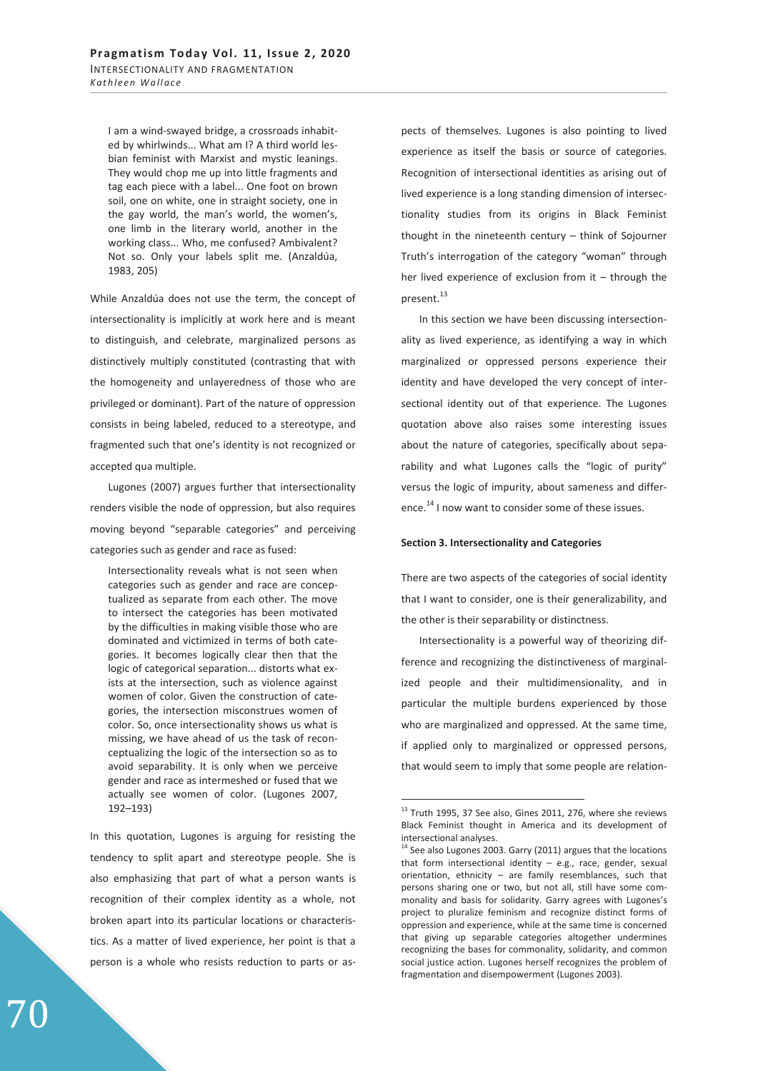I am a wind-swayed bridge, a crossroads inhabited by whirlwinds... What am I? A third world lesbian feminist with Marxist and mystic leanings. They would chop me up into little fragments and tag each piece with a label... One foot on brown soil, one on white, one in straight society, one in the gay world, the man's world, the women's, one limb in the literary world, another in the working class... Who, me confused? Ambivalent? Not so. Only your labels split me. (Anzaldúa, 1983, 205)

While Anzaldúa does not use the term, the concept of intersectionality is implicitly at work here and is meant to distinguish, and celebrate, marginalized persons as distinctively multiply constituted (contrasting that with the homogeneity and unlayeredness of those who are privileged or dominant). Part of the nature of oppression consists in being labeled, reduced to a stereotype, and fragmented such that one's identity is not recognized or accepted qua multiple.

Lugones (2007) argues further that intersectionality renders visible the node of oppression, but also requires moving beyond "separable categories" and perceiving categories such as gender and race as fused:

Intersectionality reveals what is not seen when categories such as gender and race are conceptualized as separate from each other. The move to intersect the categories has been motivated by the difficulties in making visible those who are dominated and victimized in terms of both categories. It becomes logically clear then that the logic of categorical separation... distorts what exists at the intersection, such as violence against women of color. Given the construction of categories, the intersection misconstrues women of color. So, once intersectionality shows us what is missing, we have ahead of us the task of reconceptualizing the logic of the intersection so as to avoid separability. It is only when we perceive gender and race as intermeshed or fused that we actually see women of color. (Lugones 2007, 192–193)

In this quotation, Lugones is arguing for resisting the tendency to split apart and stereotype people. She is also emphasizing that part of what a person wants is recognition of their complex identity as a whole, not broken apart into its particular locations or characteristics. As a matter of lived experience, her point is that a person is a whole who resists reduction to parts or as-

pects of themselves. Lugones is also pointing to lived experience as itself the basis or source of categories. Recognition of intersectional identities as arising out of lived experience is a long standing dimension of intersectionality studies from its origins in Black Feminist thought in the nineteenth century – think of Sojourner Truth's interrogation of the category "woman" through her lived experience of exclusion from it – through the present.<sup>13</sup>

In this section we have been discussing intersectionality as lived experience, as identifying a way in which marginalized or oppressed persons experience their identity and have developed the very concept of intersectional identity out of that experience. The Lugones quotation above also raises some interesting issues about the nature of categories, specifically about separability and what Lugones calls the "logic of purity" versus the logic of impurity, about sameness and difference.<sup>14</sup> I now want to consider some of these issues.

## **Section 3. Intersectionality and Categories**

There are two aspects of the categories of social identity that I want to consider, one is their generalizability, and the other is their separability or distinctness.

Intersectionality is a powerful way of theorizing difference and recognizing the distinctiveness of marginalized people and their multidimensionality, and in particular the multiple burdens experienced by those who are marginalized and oppressed. At the same time, if applied only to marginalized or oppressed persons, that would seem to imply that some people are relation-

 $^{13}$  Truth 1995, 37 See also, Gines 2011, 276, where she reviews Black Feminist thought in America and its development of intersectional analyses.

 $\frac{1}{2}$  See also Lugones 2003. Garry (2011) argues that the locations that form intersectional identity  $-$  e.g., race, gender, sexual orientation, ethnicity – are family resemblances, such that persons sharing one or two, but not all, still have some commonality and basis for solidarity. Garry agrees with Lugones's project to pluralize feminism and recognize distinct forms of oppression and experience, while at the same time is concerned that giving up separable categories altogether undermines recognizing the bases for commonality, solidarity, and common social justice action. Lugones herself recognizes the problem of fragmentation and disempowerment (Lugones 2003).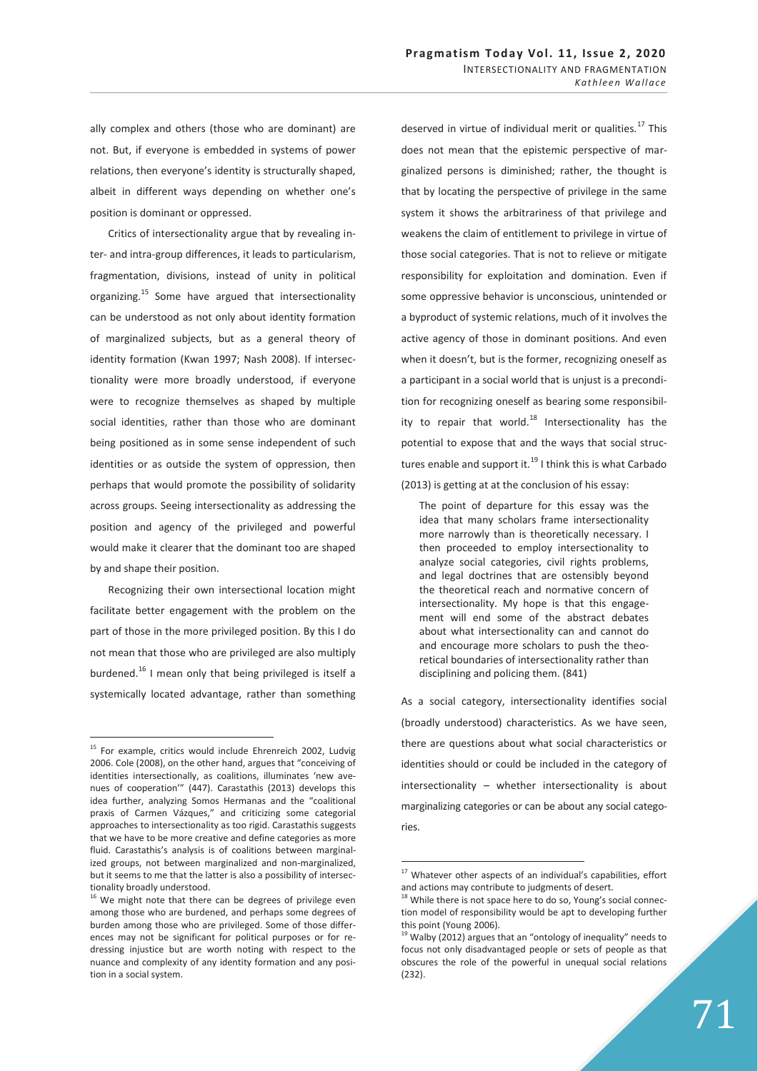ally complex and others (those who are dominant) are not. But, if everyone is embedded in systems of power relations, then everyone's identity is structurally shaped, albeit in different ways depending on whether one's position is dominant or oppressed.

Critics of intersectionality argue that by revealing inter- and intra-group differences, it leads to particularism, fragmentation, divisions, instead of unity in political organizing.<sup>15</sup> Some have argued that intersectionality can be understood as not only about identity formation of marginalized subjects, but as a general theory of identity formation (Kwan 1997; Nash 2008). If intersectionality were more broadly understood, if everyone were to recognize themselves as shaped by multiple social identities, rather than those who are dominant being positioned as in some sense independent of such identities or as outside the system of oppression, then perhaps that would promote the possibility of solidarity across groups. Seeing intersectionality as addressing the position and agency of the privileged and powerful would make it clearer that the dominant too are shaped by and shape their position.

Recognizing their own intersectional location might facilitate better engagement with the problem on the part of those in the more privileged position. By this I do not mean that those who are privileged are also multiply burdened.<sup>16</sup> I mean only that being privileged is itself a systemically located advantage, rather than something

 $\overline{a}$ 

deserved in virtue of individual merit or qualities. $17$  This does not mean that the epistemic perspective of marginalized persons is diminished; rather, the thought is that by locating the perspective of privilege in the same system it shows the arbitrariness of that privilege and weakens the claim of entitlement to privilege in virtue of those social categories. That is not to relieve or mitigate responsibility for exploitation and domination. Even if some oppressive behavior is unconscious, unintended or a byproduct of systemic relations, much of it involves the active agency of those in dominant positions. And even when it doesn't, but is the former, recognizing oneself as a participant in a social world that is unjust is a precondition for recognizing oneself as bearing some responsibility to repair that world. $^{18}$  Intersectionality has the potential to expose that and the ways that social structures enable and support it.<sup>19</sup> I think this is what Carbado (2013) is getting at at the conclusion of his essay:

The point of departure for this essay was the idea that many scholars frame intersectionality more narrowly than is theoretically necessary. I then proceeded to employ intersectionality to analyze social categories, civil rights problems, and legal doctrines that are ostensibly beyond the theoretical reach and normative concern of intersectionality. My hope is that this engagement will end some of the abstract debates about what intersectionality can and cannot do and encourage more scholars to push the theoretical boundaries of intersectionality rather than disciplining and policing them. (841)

As a social category, intersectionality identifies social (broadly understood) characteristics. As we have seen, there are questions about what social characteristics or identities should or could be included in the category of intersectionality – whether intersectionality is about marginalizing categories or can be about any social categories.

 $15$  For example, critics would include Ehrenreich 2002, Ludvig 2006. Cole (2008), on the other hand, argues that "conceiving of identities intersectionally, as coalitions, illuminates 'new avenues of cooperation'" (447). Carastathis (2013) develops this idea further, analyzing Somos Hermanas and the "coalitional praxis of Carmen Vázques," and criticizing some categorial approaches to intersectionality as too rigid. Carastathis suggests that we have to be more creative and define categories as more fluid. Carastathis's analysis is of coalitions between marginalized groups, not between marginalized and non-marginalized, but it seems to me that the latter is also a possibility of intersectionality broadly understood.

 $16$  We might note that there can be degrees of privilege even among those who are burdened, and perhaps some degrees of burden among those who are privileged. Some of those differences may not be significant for political purposes or for redressing injustice but are worth noting with respect to the nuance and complexity of any identity formation and any position in a social system.

<sup>&</sup>lt;sup>17</sup> Whatever other aspects of an individual's capabilities, effort and actions may contribute to judgments of desert.

 $18$  While there is not space here to do so, Young's social connection model of responsibility would be apt to developing further this point (Young 2006).

 $19$  Walby (2012) argues that an "ontology of inequality" needs to focus not only disadvantaged people or sets of people as that obscures the role of the powerful in unequal social relations (232).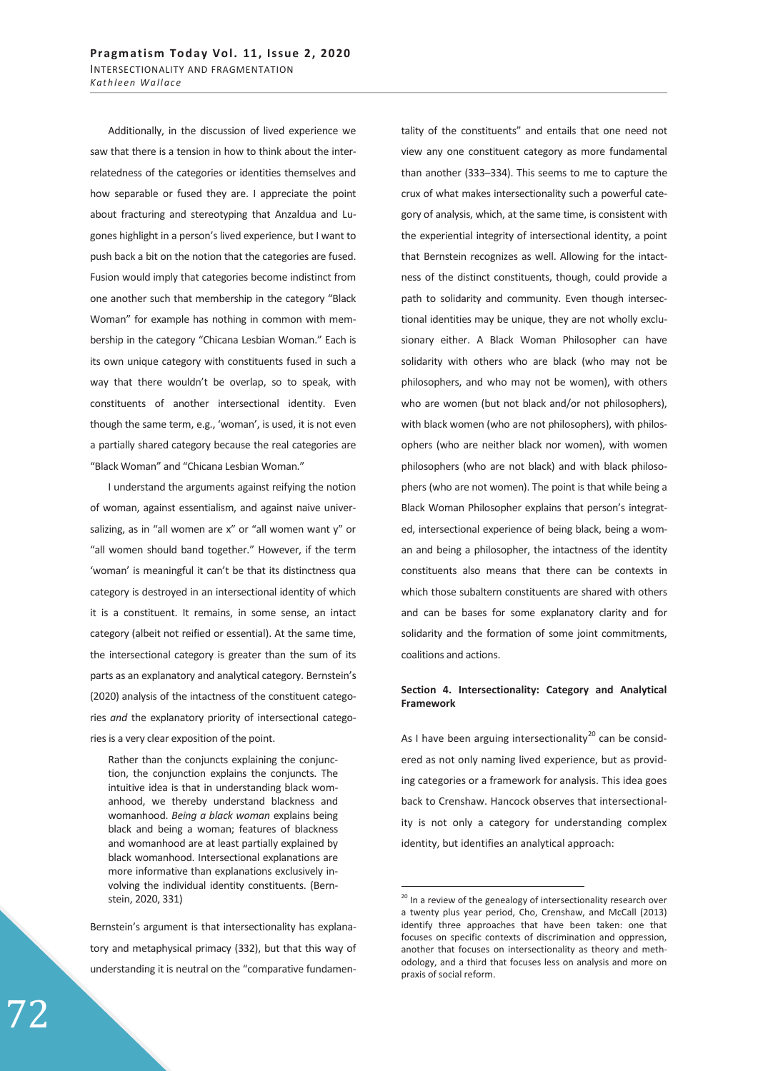Additionally, in the discussion of lived experience we saw that there is a tension in how to think about the interrelatedness of the categories or identities themselves and how separable or fused they are. I appreciate the point about fracturing and stereotyping that Anzaldua and Lugones highlight in a person's lived experience, but I want to push back a bit on the notion that the categories are fused. Fusion would imply that categories become indistinct from one another such that membership in the category "Black Woman" for example has nothing in common with membership in the category "Chicana Lesbian Woman." Each is its own unique category with constituents fused in such a way that there wouldn't be overlap, so to speak, with constituents of another intersectional identity. Even though the same term, e.g., 'woman', is used, it is not even a partially shared category because the real categories are "Black Woman" and "Chicana Lesbian Woman."

I understand the arguments against reifying the notion of woman, against essentialism, and against naive universalizing, as in "all women are x" or "all women want y" or "all women should band together." However, if the term 'woman' is meaningful it can't be that its distinctness qua category is destroyed in an intersectional identity of which it is a constituent. It remains, in some sense, an intact category (albeit not reified or essential). At the same time, the intersectional category is greater than the sum of its parts as an explanatory and analytical category. Bernstein's (2020) analysis of the intactness of the constituent categories *and* the explanatory priority of intersectional categories is a very clear exposition of the point.

Rather than the conjuncts explaining the conjunction, the conjunction explains the conjuncts. The intuitive idea is that in understanding black womanhood, we thereby understand blackness and womanhood. *Being a black woman* explains being black and being a woman; features of blackness and womanhood are at least partially explained by black womanhood. Intersectional explanations are more informative than explanations exclusively involving the individual identity constituents. (Bernstein, 2020, 331)

Bernstein's argument is that intersectionality has explanatory and metaphysical primacy (332), but that this way of understanding it is neutral on the "comparative fundamen-

tality of the constituents" and entails that one need not view any one constituent category as more fundamental than another (333–334). This seems to me to capture the crux of what makes intersectionality such a powerful category of analysis, which, at the same time, is consistent with the experiential integrity of intersectional identity, a point that Bernstein recognizes as well. Allowing for the intactness of the distinct constituents, though, could provide a path to solidarity and community. Even though intersectional identities may be unique, they are not wholly exclusionary either. A Black Woman Philosopher can have solidarity with others who are black (who may not be philosophers, and who may not be women), with others who are women (but not black and/or not philosophers), with black women (who are not philosophers), with philosophers (who are neither black nor women), with women philosophers (who are not black) and with black philosophers (who are not women). The point is that while being a Black Woman Philosopher explains that person's integrated, intersectional experience of being black, being a woman and being a philosopher, the intactness of the identity constituents also means that there can be contexts in which those subaltern constituents are shared with others and can be bases for some explanatory clarity and for solidarity and the formation of some joint commitments, coalitions and actions.

# **Section 4. Intersectionality: Category and Analytical Framework**

As I have been arguing intersectionality<sup>20</sup> can be considered as not only naming lived experience, but as providing categories or a framework for analysis. This idea goes back to Crenshaw. Hancock observes that intersectionality is not only a category for understanding complex identity, but identifies an analytical approach:

<sup>&</sup>lt;sup>20</sup> In a review of the genealogy of intersectionality research over a twenty plus year period, Cho, Crenshaw, and McCall (2013) identify three approaches that have been taken: one that focuses on specific contexts of discrimination and oppression, another that focuses on intersectionality as theory and methodology, and a third that focuses less on analysis and more on praxis of social reform.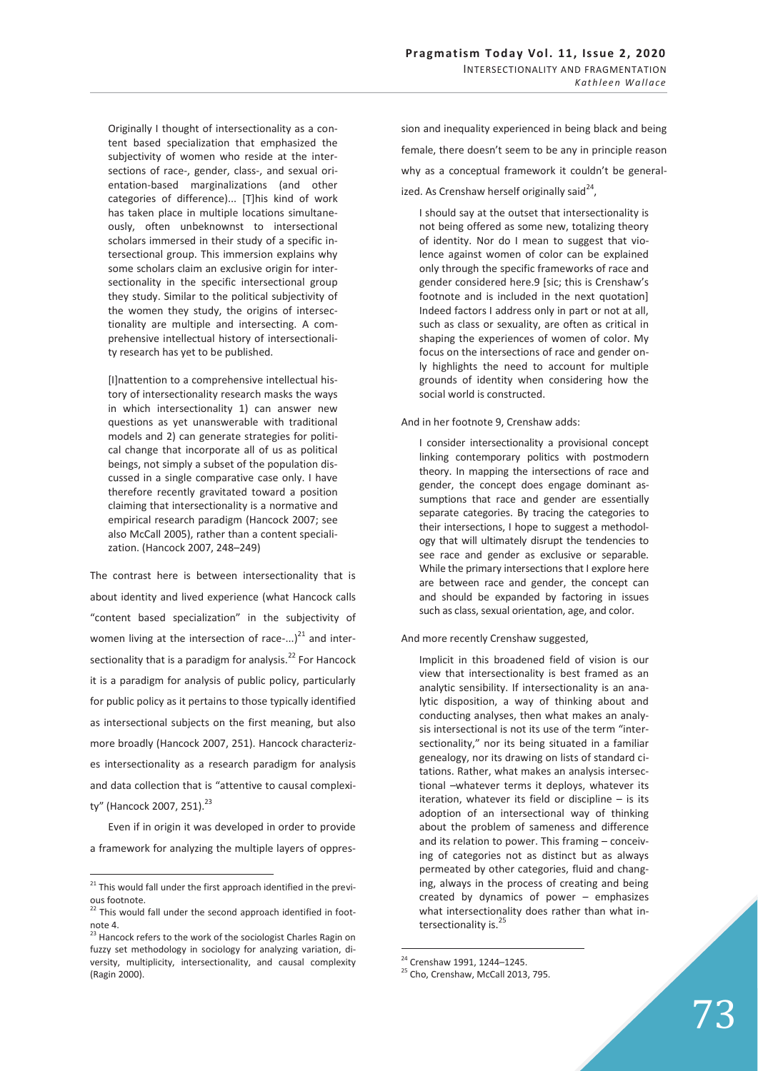Originally I thought of intersectionality as a content based specialization that emphasized the subjectivity of women who reside at the intersections of race-, gender, class-, and sexual orientation-based marginalizations (and other categories of difference)... [T]his kind of work has taken place in multiple locations simultaneously, often unbeknownst to intersectional scholars immersed in their study of a specific intersectional group. This immersion explains why some scholars claim an exclusive origin for intersectionality in the specific intersectional group they study. Similar to the political subjectivity of the women they study, the origins of intersectionality are multiple and intersecting. A comprehensive intellectual history of intersectionality research has yet to be published.

[I]nattention to a comprehensive intellectual history of intersectionality research masks the ways in which intersectionality 1) can answer new questions as yet unanswerable with traditional models and 2) can generate strategies for political change that incorporate all of us as political beings, not simply a subset of the population discussed in a single comparative case only. I have therefore recently gravitated toward a position claiming that intersectionality is a normative and empirical research paradigm (Hancock 2007; see also McCall 2005), rather than a content specialization. (Hancock 2007, 248–249)

The contrast here is between intersectionality that is about identity and lived experience (what Hancock calls "content based specialization" in the subjectivity of women living at the intersection of race-...)<sup>21</sup> and intersectionality that is a paradigm for analysis.<sup>22</sup> For Hancock it is a paradigm for analysis of public policy, particularly for public policy as it pertains to those typically identified as intersectional subjects on the first meaning, but also more broadly (Hancock 2007, 251). Hancock characterizes intersectionality as a research paradigm for analysis and data collection that is "attentive to causal complexity" (Hancock 2007, 251).<sup>23</sup>

Even if in origin it was developed in order to provide a framework for analyzing the multiple layers of oppres-

 $\overline{a}$ 

sion and inequality experienced in being black and being female, there doesn't seem to be any in principle reason why as a conceptual framework it couldn't be generalized. As Crenshaw herself originally said<sup>24</sup>,

I should say at the outset that intersectionality is not being offered as some new, totalizing theory of identity. Nor do I mean to suggest that violence against women of color can be explained only through the specific frameworks of race and gender considered here.9 [sic; this is Crenshaw's footnote and is included in the next quotation] Indeed factors I address only in part or not at all, such as class or sexuality, are often as critical in shaping the experiences of women of color. My focus on the intersections of race and gender only highlights the need to account for multiple grounds of identity when considering how the social world is constructed.

And in her footnote 9, Crenshaw adds:

I consider intersectionality a provisional concept linking contemporary politics with postmodern theory. In mapping the intersections of race and gender, the concept does engage dominant assumptions that race and gender are essentially separate categories. By tracing the categories to their intersections, I hope to suggest a methodology that will ultimately disrupt the tendencies to see race and gender as exclusive or separable. While the primary intersections that I explore here are between race and gender, the concept can and should be expanded by factoring in issues such as class, sexual orientation, age, and color.

And more recently Crenshaw suggested,

Implicit in this broadened field of vision is our view that intersectionality is best framed as an analytic sensibility. If intersectionality is an analytic disposition, a way of thinking about and conducting analyses, then what makes an analysis intersectional is not its use of the term "intersectionality," nor its being situated in a familiar genealogy, nor its drawing on lists of standard citations. Rather, what makes an analysis intersectional –whatever terms it deploys, whatever its iteration, whatever its field or discipline – is its adoption of an intersectional way of thinking about the problem of sameness and difference and its relation to power. This framing – conceiving of categories not as distinct but as always permeated by other categories, fluid and changing, always in the process of creating and being created by dynamics of power – emphasizes what intersectionality does rather than what intersectionality is.<sup>25</sup>

 $\overline{a}$ 

 $21$  This would fall under the first approach identified in the previous footnote.

 $22$  This would fall under the second approach identified in footnote 4.

<sup>&</sup>lt;sup>23</sup> Hancock refers to the work of the sociologist Charles Ragin on fuzzy set methodology in sociology for analyzing variation, diversity, multiplicity, intersectionality, and causal complexity (Ragin 2000).

<sup>24</sup> Crenshaw 1991, 1244–1245.

<sup>&</sup>lt;sup>25</sup> Cho, Crenshaw, McCall 2013, 795.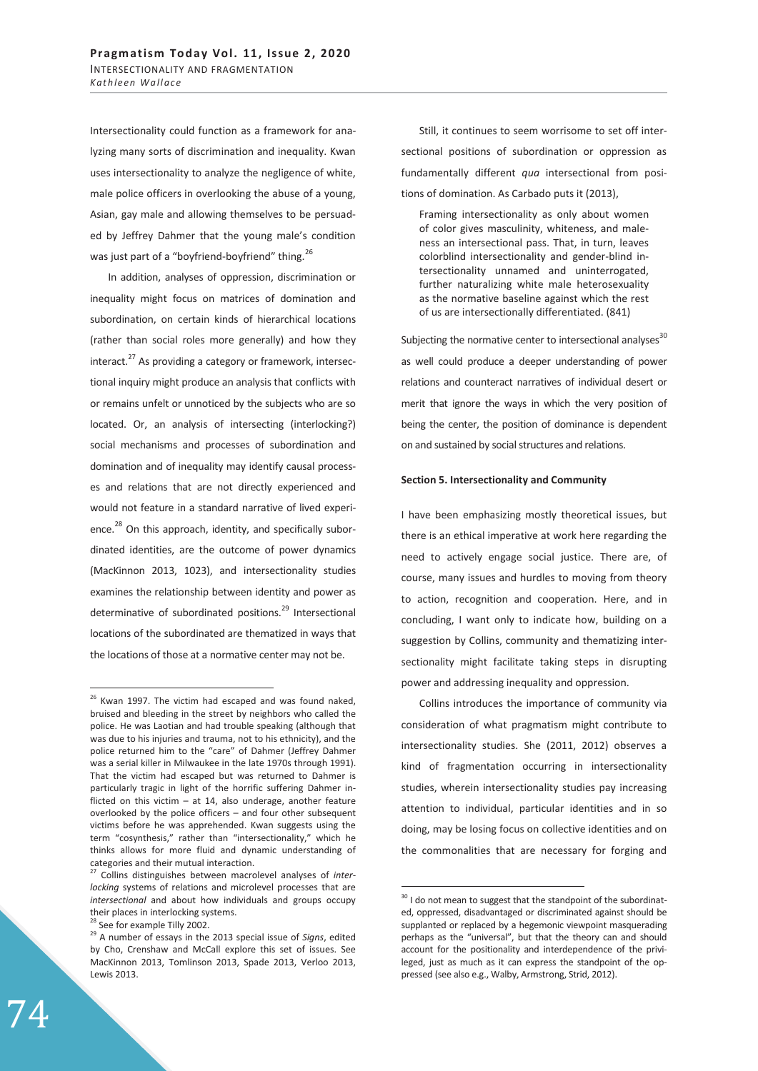Intersectionality could function as a framework for analyzing many sorts of discrimination and inequality. Kwan uses intersectionality to analyze the negligence of white, male police officers in overlooking the abuse of a young, Asian, gay male and allowing themselves to be persuaded by Jeffrey Dahmer that the young male's condition was just part of a "boyfriend-boyfriend" thing.<sup>26</sup>

In addition, analyses of oppression, discrimination or inequality might focus on matrices of domination and subordination, on certain kinds of hierarchical locations (rather than social roles more generally) and how they interact. $^{27}$  As providing a category or framework, intersectional inquiry might produce an analysis that conflicts with or remains unfelt or unnoticed by the subjects who are so located. Or, an analysis of intersecting (interlocking?) social mechanisms and processes of subordination and domination and of inequality may identify causal processes and relations that are not directly experienced and would not feature in a standard narrative of lived experience.<sup>28</sup> On this approach, identity, and specifically subordinated identities, are the outcome of power dynamics (MacKinnon 2013, 1023), and intersectionality studies examines the relationship between identity and power as determinative of subordinated positions.<sup>29</sup> Intersectional locations of the subordinated are thematized in ways that the locations of those at a normative center may not be.

 $\overline{a}$ 

Still, it continues to seem worrisome to set off intersectional positions of subordination or oppression as fundamentally different *qua* intersectional from positions of domination. As Carbado puts it (2013),

Framing intersectionality as only about women of color gives masculinity, whiteness, and maleness an intersectional pass. That, in turn, leaves colorblind intersectionality and gender-blind intersectionality unnamed and uninterrogated, further naturalizing white male heterosexuality as the normative baseline against which the rest of us are intersectionally differentiated. (841)

Subjecting the normative center to intersectional analyses<sup>30</sup> as well could produce a deeper understanding of power relations and counteract narratives of individual desert or merit that ignore the ways in which the very position of being the center, the position of dominance is dependent on and sustained by social structures and relations.

### **Section 5. Intersectionality and Community**

I have been emphasizing mostly theoretical issues, but there is an ethical imperative at work here regarding the need to actively engage social justice. There are, of course, many issues and hurdles to moving from theory to action, recognition and cooperation. Here, and in concluding, I want only to indicate how, building on a suggestion by Collins, community and thematizing intersectionality might facilitate taking steps in disrupting power and addressing inequality and oppression.

Collins introduces the importance of community via consideration of what pragmatism might contribute to intersectionality studies. She (2011, 2012) observes a kind of fragmentation occurring in intersectionality studies, wherein intersectionality studies pay increasing attention to individual, particular identities and in so doing, may be losing focus on collective identities and on the commonalities that are necessary for forging and

 $26$  Kwan 1997. The victim had escaped and was found naked, bruised and bleeding in the street by neighbors who called the police. He was Laotian and had trouble speaking (although that was due to his injuries and trauma, not to his ethnicity), and the police returned him to the "care" of Dahmer (Jeffrey Dahmer was a serial killer in Milwaukee in the late 1970s through 1991). That the victim had escaped but was returned to Dahmer is particularly tragic in light of the horrific suffering Dahmer inflicted on this victim  $-$  at 14, also underage, another feature overlooked by the police officers – and four other subsequent victims before he was apprehended. Kwan suggests using the term "cosynthesis," rather than "intersectionality," which he thinks allows for more fluid and dynamic understanding of categories and their mutual interaction.

<sup>27</sup> Collins distinguishes between macrolevel analyses of *interlocking* systems of relations and microlevel processes that are *intersectional* and about how individuals and groups occupy their places in interlocking systems.

<sup>&</sup>lt;sup>28</sup> See for example Tilly 2002.

<sup>29</sup> A number of essays in the 2013 special issue of *Signs*, edited by Cho, Crenshaw and McCall explore this set of issues. See MacKinnon 2013, Tomlinson 2013, Spade 2013, Verloo 2013, Lewis 2013.

 $30$  I do not mean to suggest that the standpoint of the subordinated, oppressed, disadvantaged or discriminated against should be supplanted or replaced by a hegemonic viewpoint masquerading perhaps as the "universal", but that the theory can and should account for the positionality and interdependence of the privileged, just as much as it can express the standpoint of the oppressed (see also e.g., Walby, Armstrong, Strid, 2012).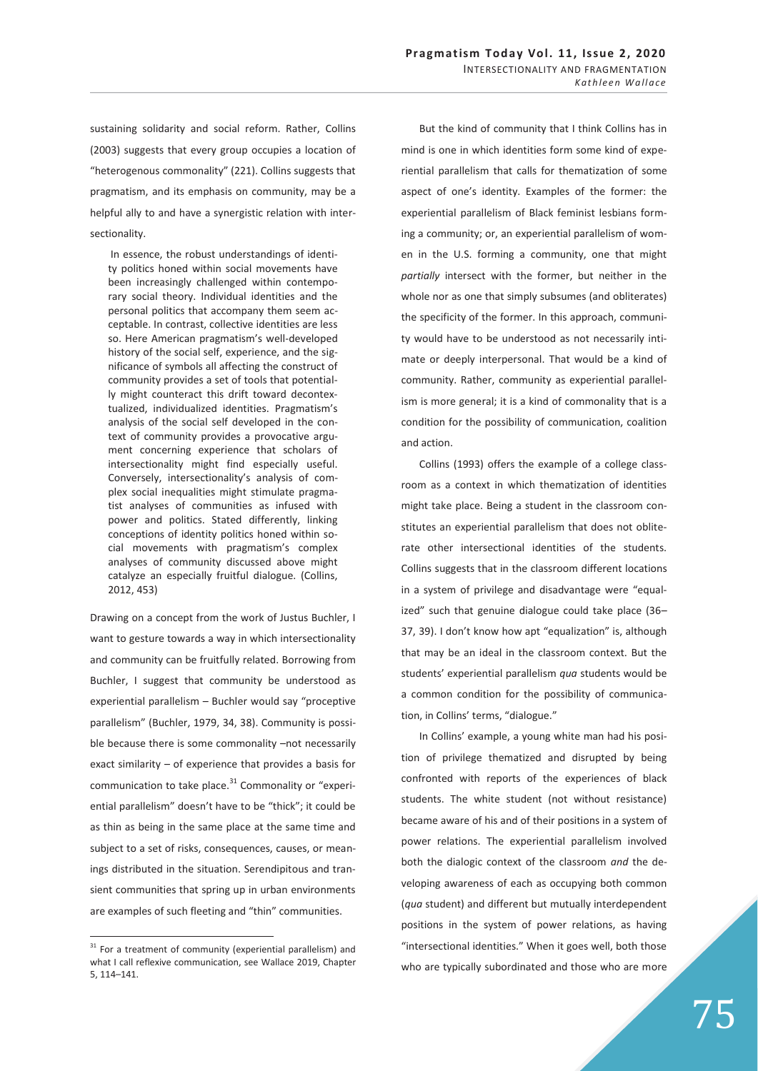sustaining solidarity and social reform. Rather, Collins (2003) suggests that every group occupies a location of "heterogenous commonality" (221). Collins suggests that pragmatism, and its emphasis on community, may be a helpful ally to and have a synergistic relation with intersectionality.

 In essence, the robust understandings of identity politics honed within social movements have been increasingly challenged within contemporary social theory. Individual identities and the personal politics that accompany them seem acceptable. In contrast, collective identities are less so. Here American pragmatism's well-developed history of the social self, experience, and the significance of symbols all affecting the construct of community provides a set of tools that potentially might counteract this drift toward decontextualized, individualized identities. Pragmatism's analysis of the social self developed in the context of community provides a provocative argument concerning experience that scholars of intersectionality might find especially useful. Conversely, intersectionality's analysis of complex social inequalities might stimulate pragmatist analyses of communities as infused with power and politics. Stated differently, linking conceptions of identity politics honed within social movements with pragmatism's complex analyses of community discussed above might catalyze an especially fruitful dialogue. (Collins, 2012, 453)

Drawing on a concept from the work of Justus Buchler, I want to gesture towards a way in which intersectionality and community can be fruitfully related. Borrowing from Buchler, I suggest that community be understood as experiential parallelism – Buchler would say "proceptive parallelism" (Buchler, 1979, 34, 38). Community is possible because there is some commonality –not necessarily exact similarity – of experience that provides a basis for communication to take place.<sup>31</sup> Commonality or "experiential parallelism" doesn't have to be "thick"; it could be as thin as being in the same place at the same time and subject to a set of risks, consequences, causes, or meanings distributed in the situation. Serendipitous and transient communities that spring up in urban environments are examples of such fleeting and "thin" communities.

 $\overline{a}$ 

But the kind of community that I think Collins has in mind is one in which identities form some kind of experiential parallelism that calls for thematization of some aspect of one's identity. Examples of the former: the experiential parallelism of Black feminist lesbians forming a community; or, an experiential parallelism of women in the U.S. forming a community, one that might *partially* intersect with the former, but neither in the whole nor as one that simply subsumes (and obliterates) the specificity of the former. In this approach, community would have to be understood as not necessarily intimate or deeply interpersonal. That would be a kind of community. Rather, community as experiential parallelism is more general; it is a kind of commonality that is a condition for the possibility of communication, coalition and action.

Collins (1993) offers the example of a college classroom as a context in which thematization of identities might take place. Being a student in the classroom constitutes an experiential parallelism that does not obliterate other intersectional identities of the students. Collins suggests that in the classroom different locations in a system of privilege and disadvantage were "equalized" such that genuine dialogue could take place (36– 37, 39). I don't know how apt "equalization" is, although that may be an ideal in the classroom context. But the students' experiential parallelism *qua* students would be a common condition for the possibility of communication, in Collins' terms, "dialogue."

In Collins' example, a young white man had his position of privilege thematized and disrupted by being confronted with reports of the experiences of black students. The white student (not without resistance) became aware of his and of their positions in a system of power relations. The experiential parallelism involved both the dialogic context of the classroom *and* the developing awareness of each as occupying both common (*qua* student) and different but mutually interdependent positions in the system of power relations, as having "intersectional identities." When it goes well, both those who are typically subordinated and those who are more

 $31$  For a treatment of community (experiential parallelism) and what I call reflexive communication, see Wallace 2019, Chapter 5, 114–141.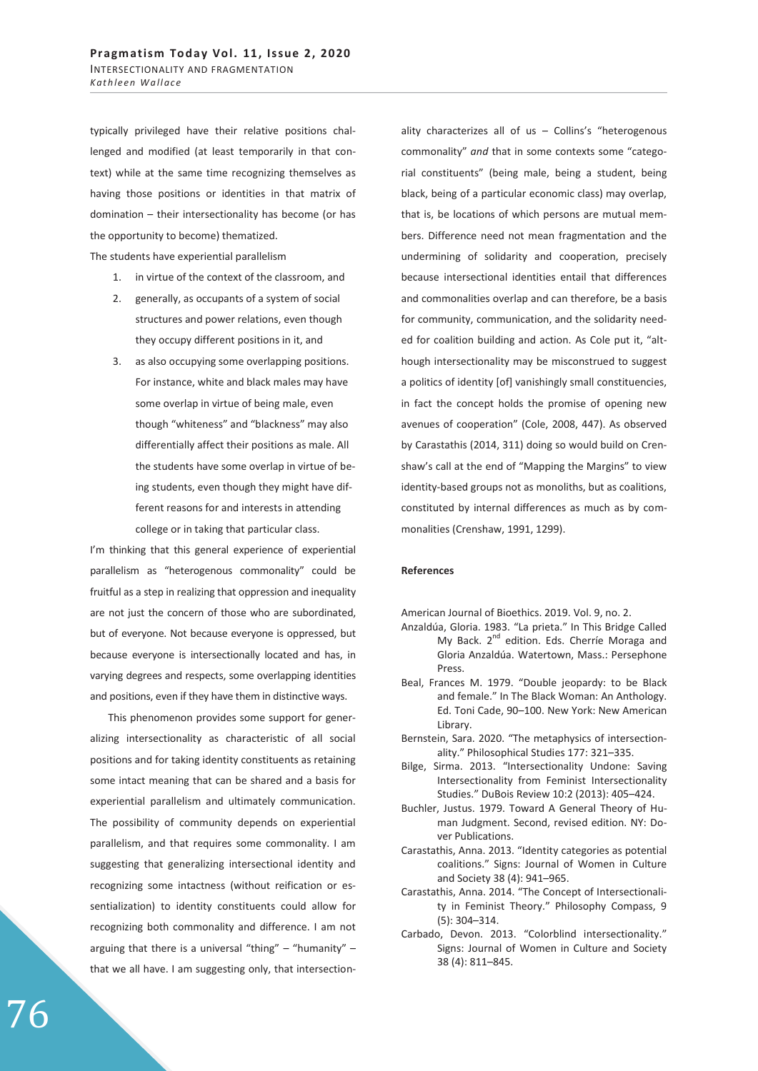typically privileged have their relative positions challenged and modified (at least temporarily in that context) while at the same time recognizing themselves as having those positions or identities in that matrix of domination – their intersectionality has become (or has the opportunity to become) thematized.

The students have experiential parallelism

- 1. in virtue of the context of the classroom, and
- 2. generally, as occupants of a system of social structures and power relations, even though they occupy different positions in it, and
- 3. as also occupying some overlapping positions. For instance, white and black males may have some overlap in virtue of being male, even though "whiteness" and "blackness" may also differentially affect their positions as male. All the students have some overlap in virtue of being students, even though they might have different reasons for and interests in attending college or in taking that particular class.

I'm thinking that this general experience of experiential parallelism as "heterogenous commonality" could be fruitful as a step in realizing that oppression and inequality are not just the concern of those who are subordinated, but of everyone. Not because everyone is oppressed, but because everyone is intersectionally located and has, in varying degrees and respects, some overlapping identities and positions, even if they have them in distinctive ways.

This phenomenon provides some support for generalizing intersectionality as characteristic of all social positions and for taking identity constituents as retaining some intact meaning that can be shared and a basis for experiential parallelism and ultimately communication. The possibility of community depends on experiential parallelism, and that requires some commonality. I am suggesting that generalizing intersectional identity and recognizing some intactness (without reification or essentialization) to identity constituents could allow for recognizing both commonality and difference. I am not arguing that there is a universal "thing"  $-$  "humanity"  $$ that we all have. I am suggesting only, that intersectionality characterizes all of us – Collins's "heterogenous commonality" *and* that in some contexts some "categorial constituents" (being male, being a student, being black, being of a particular economic class) may overlap, that is, be locations of which persons are mutual members. Difference need not mean fragmentation and the undermining of solidarity and cooperation, precisely because intersectional identities entail that differences and commonalities overlap and can therefore, be a basis for community, communication, and the solidarity needed for coalition building and action. As Cole put it, "although intersectionality may be misconstrued to suggest a politics of identity [of] vanishingly small constituencies, in fact the concept holds the promise of opening new avenues of cooperation" (Cole, 2008, 447). As observed by Carastathis (2014, 311) doing so would build on Crenshaw's call at the end of "Mapping the Margins" to view identity-based groups not as monoliths, but as coalitions, constituted by internal differences as much as by commonalities (Crenshaw, 1991, 1299).

#### **References**

American Journal of Bioethics. 2019. Vol. 9, no. 2.

- Anzaldúa, Gloria. 1983. "La prieta." In This Bridge Called My Back. 2<sup>nd</sup> edition. Eds. Cherríe Moraga and Gloria Anzaldúa. Watertown, Mass.: Persephone Press.
- Beal, Frances M. 1979. "Double jeopardy: to be Black and female." In The Black Woman: An Anthology. Ed. Toni Cade, 90–100. New York: New American Library.
- Bernstein, Sara. 2020. "The metaphysics of intersectionality." Philosophical Studies 177: 321–335.
- Bilge, Sirma. 2013. "Intersectionality Undone: Saving Intersectionality from Feminist Intersectionality Studies." DuBois Review 10:2 (2013): 405–424.
- Buchler, Justus. 1979. Toward A General Theory of Human Judgment. Second, revised edition. NY: Dover Publications.
- Carastathis, Anna. 2013. "Identity categories as potential coalitions." Signs: Journal of Women in Culture and Society 38 (4): 941–965.
- Carastathis, Anna. 2014. "The Concept of Intersectionality in Feminist Theory." Philosophy Compass, 9 (5): 304–314.
- Carbado, Devon. 2013. "Colorblind intersectionality." Signs: Journal of Women in Culture and Society 38 (4): 811–845.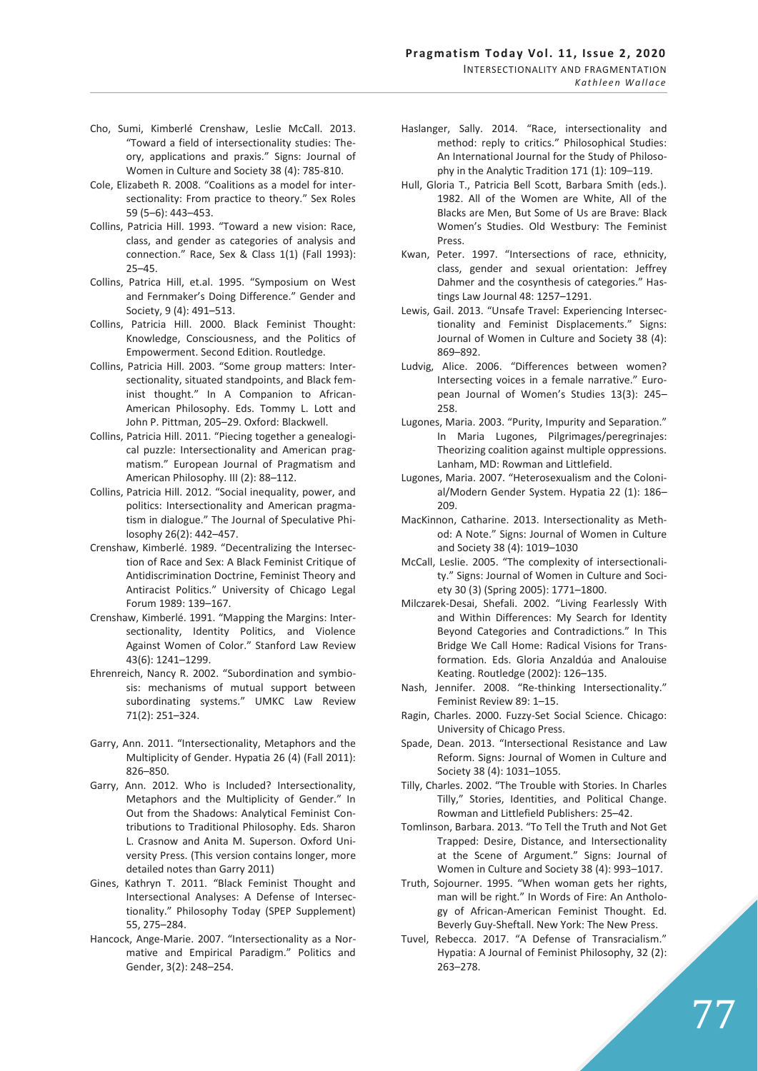- Cho, Sumi, Kimberlé Crenshaw, Leslie McCall. 2013. "Toward a field of intersectionality studies: Theory, applications and praxis." Signs: Journal of Women in Culture and Society 38 (4): 785-810.
- Cole, Elizabeth R. 2008. "Coalitions as a model for intersectionality: From practice to theory." Sex Roles 59 (5–6): 443–453.
- Collins, Patricia Hill. 1993. "Toward a new vision: Race, class, and gender as categories of analysis and connection." Race, Sex & Class 1(1) (Fall 1993): 25–45.
- Collins, Patrica Hill, et.al. 1995. "Symposium on West and Fernmaker's Doing Difference." Gender and Society, 9 (4): 491–513.
- Collins, Patricia Hill. 2000. Black Feminist Thought: Knowledge, Consciousness, and the Politics of Empowerment. Second Edition. Routledge.
- Collins, Patricia Hill. 2003. "Some group matters: Intersectionality, situated standpoints, and Black feminist thought." In A Companion to African-American Philosophy. Eds. Tommy L. Lott and John P. Pittman, 205–29. Oxford: Blackwell.
- Collins, Patricia Hill. 2011. "Piecing together a genealogical puzzle: Intersectionality and American pragmatism." European Journal of Pragmatism and American Philosophy. III (2): 88–112.
- Collins, Patricia Hill. 2012. "Social inequality, power, and politics: Intersectionality and American pragmatism in dialogue." The Journal of Speculative Philosophy 26(2): 442–457.
- Crenshaw, Kimberlé. 1989. "Decentralizing the Intersection of Race and Sex: A Black Feminist Critique of Antidiscrimination Doctrine, Feminist Theory and Antiracist Politics." University of Chicago Legal Forum 1989: 139–167.
- Crenshaw, Kimberlé. 1991. "Mapping the Margins: Intersectionality, Identity Politics, and Violence Against Women of Color." Stanford Law Review 43(6): 1241–1299.
- Ehrenreich, Nancy R. 2002. "Subordination and symbiosis: mechanisms of mutual support between subordinating systems." UMKC Law Review 71(2): 251–324.
- Garry, Ann. 2011. "Intersectionality, Metaphors and the Multiplicity of Gender. Hypatia 26 (4) (Fall 2011): 826–850.
- Garry, Ann. 2012. Who is Included? Intersectionality, Metaphors and the Multiplicity of Gender." In Out from the Shadows: Analytical Feminist Contributions to Traditional Philosophy. Eds. Sharon L. Crasnow and Anita M. Superson. Oxford University Press. (This version contains longer, more detailed notes than Garry 2011)
- Gines, Kathryn T. 2011. "Black Feminist Thought and Intersectional Analyses: A Defense of Intersectionality." Philosophy Today (SPEP Supplement) 55, 275–284.
- Hancock, Ange-Marie. 2007. "Intersectionality as a Normative and Empirical Paradigm." Politics and Gender, 3(2): 248–254.
- Haslanger, Sally. 2014. "Race, intersectionality and method: reply to critics." Philosophical Studies: An International Journal for the Study of Philosophy in the Analytic Tradition 171 (1): 109–119.
- Hull, Gloria T., Patricia Bell Scott, Barbara Smith (eds.). 1982. All of the Women are White, All of the Blacks are Men, But Some of Us are Brave: Black Women's Studies. Old Westbury: The Feminist Press.
- Kwan, Peter. 1997. "Intersections of race, ethnicity, class, gender and sexual orientation: Jeffrey Dahmer and the cosynthesis of categories." Hastings Law Journal 48: 1257–1291.
- Lewis, Gail. 2013. "Unsafe Travel: Experiencing Intersectionality and Feminist Displacements." Signs: Journal of Women in Culture and Society 38 (4): 869–892.
- Ludvig, Alice. 2006. "Differences between women? Intersecting voices in a female narrative." European Journal of Women's Studies 13(3): 245– 258.
- Lugones, Maria. 2003. "Purity, Impurity and Separation." In Maria Lugones, Pilgrimages/peregrinajes: Theorizing coalition against multiple oppressions. Lanham, MD: Rowman and Littlefield.
- Lugones, Maria. 2007. "Heterosexualism and the Colonial/Modern Gender System. Hypatia 22 (1): 186– 209.
- MacKinnon, Catharine. 2013. Intersectionality as Method: A Note." Signs: Journal of Women in Culture and Society 38 (4): 1019–1030
- McCall, Leslie. 2005. "The complexity of intersectionality." Signs: Journal of Women in Culture and Society 30 (3) (Spring 2005): 1771–1800.
- Milczarek-Desai, Shefali. 2002. "Living Fearlessly With and Within Differences: My Search for Identity Beyond Categories and Contradictions." In This Bridge We Call Home: Radical Visions for Transformation. Eds. Gloria Anzaldúa and Analouise Keating. Routledge (2002): 126–135.
- Nash, Jennifer. 2008. "Re-thinking Intersectionality." Feminist Review 89: 1–15.
- Ragin, Charles. 2000. Fuzzy-Set Social Science. Chicago: University of Chicago Press.
- Spade, Dean. 2013. "Intersectional Resistance and Law Reform. Signs: Journal of Women in Culture and Society 38 (4): 1031–1055.
- Tilly, Charles. 2002. "The Trouble with Stories. In Charles Tilly," Stories, Identities, and Political Change. Rowman and Littlefield Publishers: 25–42.
- Tomlinson, Barbara. 2013. "To Tell the Truth and Not Get Trapped: Desire, Distance, and Intersectionality at the Scene of Argument." Signs: Journal of Women in Culture and Society 38 (4): 993–1017.
- Truth, Sojourner. 1995. "When woman gets her rights, man will be right." In Words of Fire: An Anthology of African-American Feminist Thought. Ed. Beverly Guy-Sheftall. New York: The New Press.
- Tuvel, Rebecca. 2017. "A Defense of Transracialism." Hypatia: A Journal of Feminist Philosophy, 32 (2): 263–278.